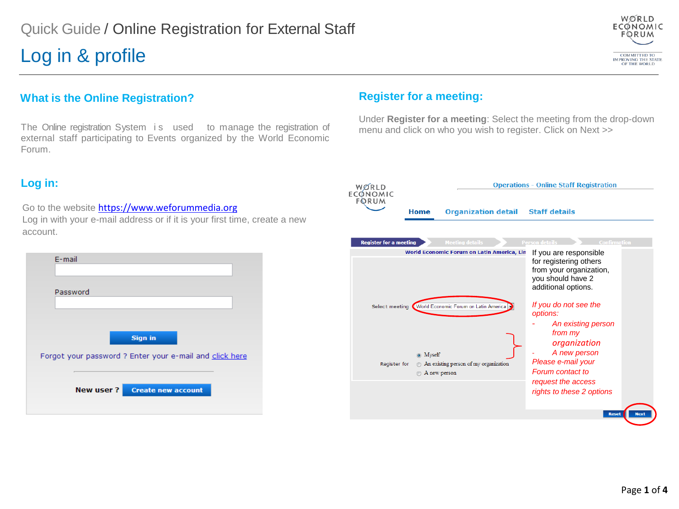## Log in & profile



### **What is the Online Registration?**

The Online registration System is used to manage the registration of external staff participating to Events organized by the World Economic Forum.

### **Log in:**

Go to the website [https://www.weforummedia.org](https://www.weforummedia.org/) Log in with your e-mail address or if it is your first time, create a new account.

| E-mail                                                                    |
|---------------------------------------------------------------------------|
| Password                                                                  |
| <b>Sign in</b><br>Forgot your password ? Enter your e-mail and click here |
| New user?<br><b>Create new account</b>                                    |

### **Register for a meeting:**

Under **Register for a meeting**: Select the meeting from the drop-down menu and click on who you wish to register. Click on Next >>

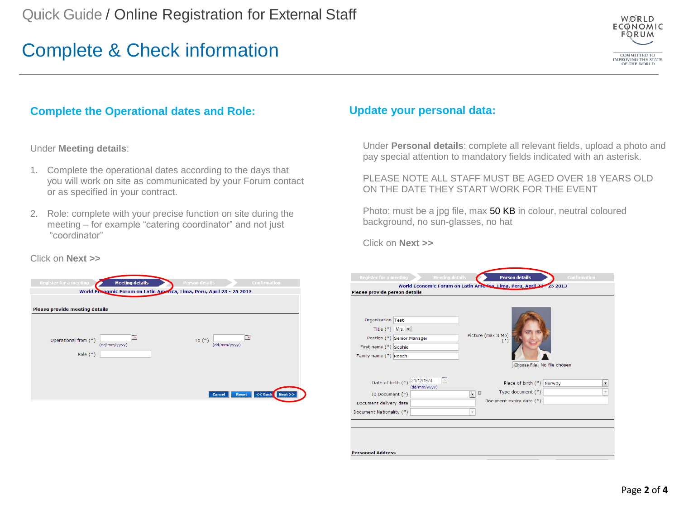# Complete & Check information



## **Complete the Operational dates and Role:**

Under **Meeting details**:

- 1. Complete the operational dates according to the days that you will work on site as communicated by your Forum contact or as specified in your contract.
- 2. Role: complete with your precise function on site during the meeting – for example "catering coordinator" and not just "coordinator"

### **Update your personal data:**

Under **Personal details**: complete all relevant fields, upload a photo and pay special attention to mandatory fields indicated with an asterisk.

PLEASE NOTE ALL STAFF MUST BE AGED OVER 18 YEARS OLD ON THE DATE THEY START WORK FOR THE EVENT

Photo: must be a jpg file, max 50 KB in colour, neutral coloured background, no sun-glasses, no hat

Click on **Next >>**

| <b>Meeting details</b><br><b>Register for a meeting</b><br>Please provide person details<br>Organization Test<br>Title $(*)$ Mrs. $\blacktriangleright$<br>Postion (*) Senior Manager<br>First name (*) Sophie | <b>Person details</b><br><b>Confirmation</b><br>World Economic Forum on Latin America, Lima, Peru, April 22 25 2013<br>Picture (max 3 Mo)<br>$(*)$ |
|----------------------------------------------------------------------------------------------------------------------------------------------------------------------------------------------------------------|----------------------------------------------------------------------------------------------------------------------------------------------------|
| Family name (*) Roach                                                                                                                                                                                          |                                                                                                                                                    |
|                                                                                                                                                                                                                | Choose File   No file chosen                                                                                                                       |
| Te)<br>31/12/1974<br>Date of birth (*)<br>(dd/mm/yyyy)                                                                                                                                                         | Place of birth (*)<br>Norway<br>۰                                                                                                                  |
| ID Document (*)                                                                                                                                                                                                | Type document (*)<br>$\Box$<br>$\overline{\phantom{a}}$                                                                                            |
| Document delivery date                                                                                                                                                                                         | Document expiry date (*)                                                                                                                           |
| Document Nationality (*)                                                                                                                                                                                       | $\mathbf{v}$                                                                                                                                       |
|                                                                                                                                                                                                                |                                                                                                                                                    |
|                                                                                                                                                                                                                |                                                                                                                                                    |
|                                                                                                                                                                                                                |                                                                                                                                                    |
|                                                                                                                                                                                                                |                                                                                                                                                    |
| <b>Personnal Address</b>                                                                                                                                                                                       |                                                                                                                                                    |

### Click on **Next >>**

| <b>Register for a meeting</b>  | <b>Meeting details</b>                                                | <b>Person details</b> |                               | <b>Confirmation</b> |
|--------------------------------|-----------------------------------------------------------------------|-----------------------|-------------------------------|---------------------|
|                                | World Economic Forum on Latin America, Lima, Peru, April 23 - 25 2013 |                       |                               |                     |
|                                |                                                                       |                       |                               |                     |
| Please provide meeting details |                                                                       |                       |                               |                     |
|                                |                                                                       |                       |                               |                     |
|                                |                                                                       |                       |                               |                     |
| Operational from (*)           | <b>TA</b>                                                             | To $(*)$              | ma i                          |                     |
|                                | (dd/mm/yyyy)                                                          |                       | (dd/mm/yyyy)                  |                     |
| Role $(*)$                     |                                                                       |                       |                               |                     |
|                                |                                                                       |                       |                               |                     |
|                                |                                                                       |                       |                               |                     |
|                                |                                                                       |                       |                               |                     |
|                                |                                                                       |                       | <b>Cancel</b><br><b>Reset</b> | << Back<br>Next     |
|                                |                                                                       |                       |                               |                     |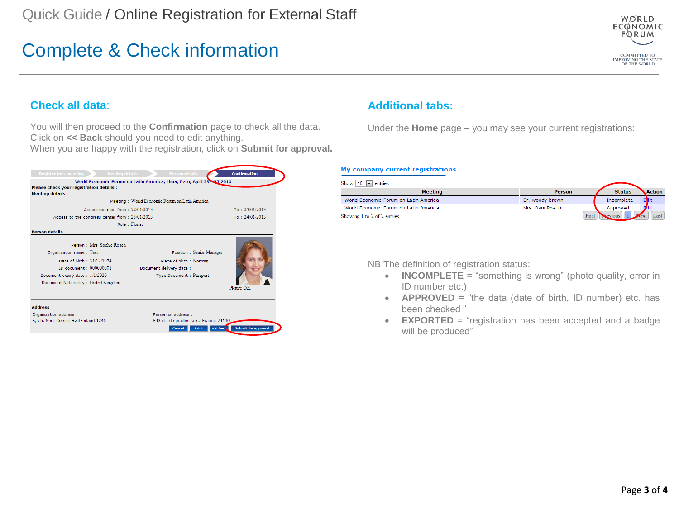# Complete & Check information



### **Check all data**:

You will then proceed to the **Confirmation** page to check all the data. Click on **<< Back** should you need to edit anything.

When you are happy with the registration, click on **Submit for approval.**



## **Additional tabs:**

Under the **Home** page – you may see your current registrations:

#### My company current registrations

| Show 10<br>entries<br>$\mathbf{r}$    |                 |               |               |
|---------------------------------------|-----------------|---------------|---------------|
| <b>Meeting</b>                        | Person          | <b>Status</b> | <b>Action</b> |
| World Economic Forum on Latin America | Dr. woody brown | Incomplete    | E             |
| World Economic Forum on Latin America | Mrs. Dani Roach | Approved      |               |
| Showing 1 to 2 of 2 entries           | First           |               | Last          |

NB The definition of registration status:

- **INCOMPLETE** = "something is wrong" (photo quality, error in ID number etc.)
- **APPROVED** = "the data (date of birth, ID number) etc. has been checked "
- **EXPORTED** = "registration has been accepted and a badge will be produced"